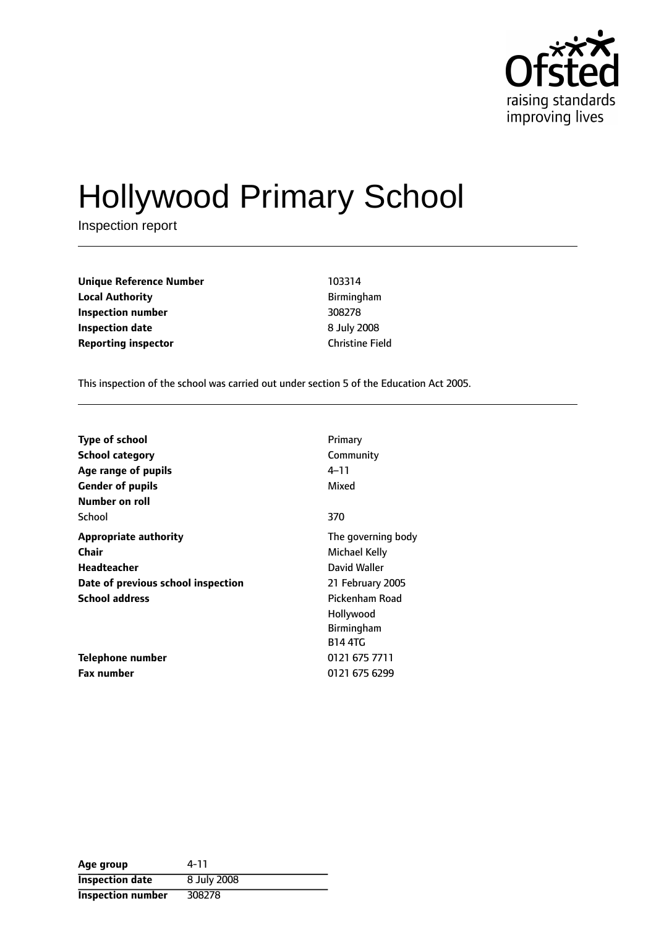

# Hollywood Primary School

Inspection report

**Unique Reference Number** 103314 **Local Authority Birmingham Inspection number** 308278 **Inspection date** 8 July 2008 **Reporting inspector Christiana** Christine Field

This inspection of the school was carried out under section 5 of the Education Act 2005.

| <b>Type of school</b>              | Primary            |
|------------------------------------|--------------------|
| <b>School category</b>             | Community          |
| Age range of pupils                | 4–11               |
| <b>Gender of pupils</b>            | Mixed              |
| Number on roll                     |                    |
| School                             | 370                |
| <b>Appropriate authority</b>       | The governing body |
| Chair                              | Michael Kelly      |
| Headteacher                        | David Waller       |
| Date of previous school inspection | 21 February 2005   |
| <b>School address</b>              | Pickenham Road     |
|                                    | Hollywood          |
|                                    | Birmingham         |
|                                    | <b>B14 4TG</b>     |
| Telephone number                   | 0121 675 7711      |
| <b>Fax number</b>                  | 0121 675 6299      |

| Age group              | 4-11        |
|------------------------|-------------|
| <b>Inspection date</b> | 8 July 2008 |
| Inspection number      | 308278      |

L,  $\overline{\phantom{0}}$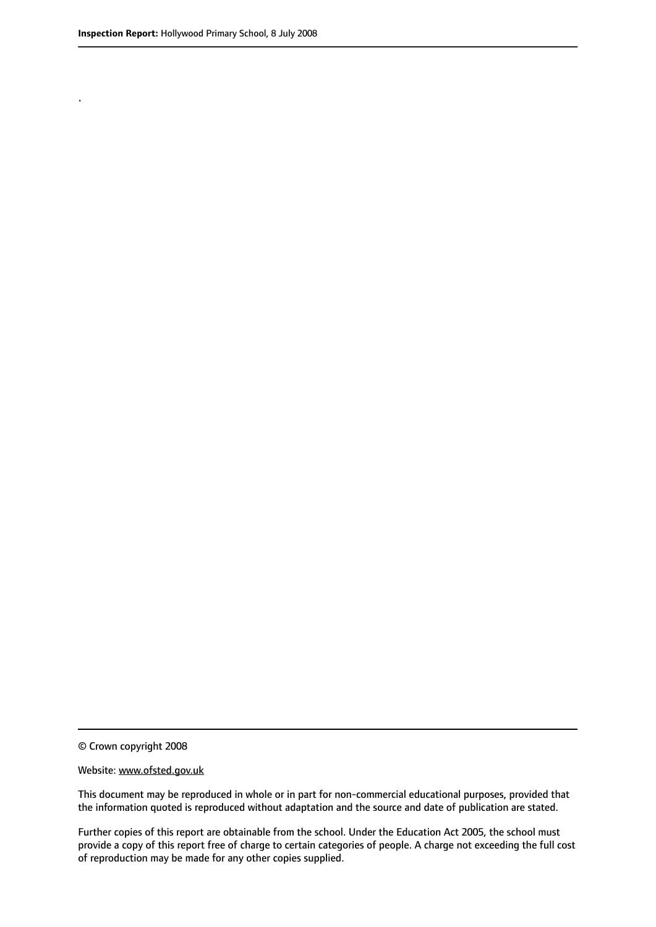.

© Crown copyright 2008

#### Website: www.ofsted.gov.uk

This document may be reproduced in whole or in part for non-commercial educational purposes, provided that the information quoted is reproduced without adaptation and the source and date of publication are stated.

Further copies of this report are obtainable from the school. Under the Education Act 2005, the school must provide a copy of this report free of charge to certain categories of people. A charge not exceeding the full cost of reproduction may be made for any other copies supplied.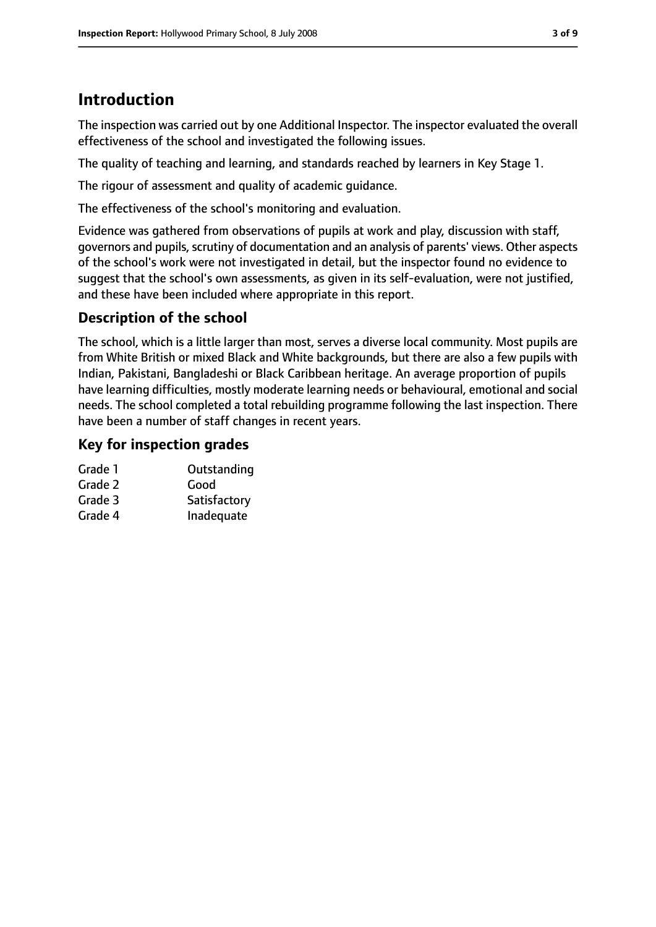# **Introduction**

The inspection was carried out by one Additional Inspector. The inspector evaluated the overall effectiveness of the school and investigated the following issues.

The quality of teaching and learning, and standards reached by learners in Key Stage 1.

The rigour of assessment and quality of academic guidance.

The effectiveness of the school's monitoring and evaluation.

Evidence was gathered from observations of pupils at work and play, discussion with staff, governors and pupils, scrutiny of documentation and an analysis of parents' views. Other aspects of the school's work were not investigated in detail, but the inspector found no evidence to suggest that the school's own assessments, as given in its self-evaluation, were not justified, and these have been included where appropriate in this report.

## **Description of the school**

The school, which is a little larger than most, serves a diverse local community. Most pupils are from White British or mixed Black and White backgrounds, but there are also a few pupils with Indian, Pakistani, Bangladeshi or Black Caribbean heritage. An average proportion of pupils have learning difficulties, mostly moderate learning needs or behavioural, emotional and social needs. The school completed a total rebuilding programme following the last inspection. There have been a number of staff changes in recent years.

## **Key for inspection grades**

| Grade 1 | Outstanding  |
|---------|--------------|
| Grade 2 | Good         |
| Grade 3 | Satisfactory |
| Grade 4 | Inadequate   |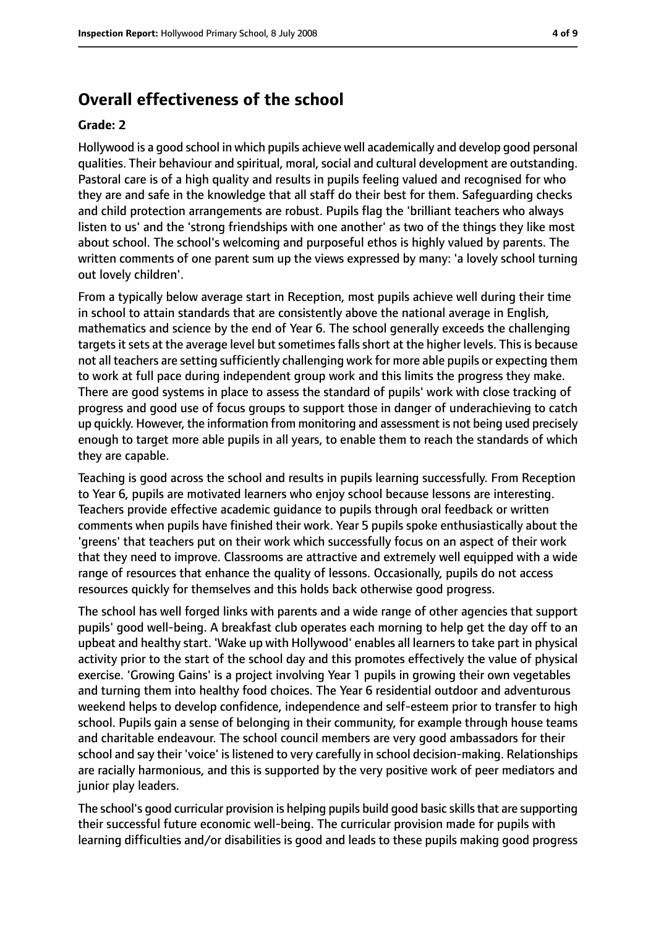## **Overall effectiveness of the school**

#### **Grade: 2**

Hollywood is a good school in which pupils achieve well academically and develop good personal qualities. Their behaviour and spiritual, moral, social and cultural development are outstanding. Pastoral care is of a high quality and results in pupils feeling valued and recognised for who they are and safe in the knowledge that all staff do their best for them. Safeguarding checks and child protection arrangements are robust. Pupils flag the 'brilliant teachers who always listen to us' and the 'strong friendships with one another' as two of the things they like most about school. The school's welcoming and purposeful ethos is highly valued by parents. The written comments of one parent sum up the views expressed by many: 'a lovely school turning out lovely children'.

From a typically below average start in Reception, most pupils achieve well during their time in school to attain standards that are consistently above the national average in English, mathematics and science by the end of Year 6. The school generally exceeds the challenging targets it sets at the average level but sometimes falls short at the higher levels. This is because not all teachers are setting sufficiently challenging work for more able pupils or expecting them to work at full pace during independent group work and this limits the progress they make. There are good systems in place to assess the standard of pupils' work with close tracking of progress and good use of focus groups to support those in danger of underachieving to catch up quickly. However, the information from monitoring and assessment is not being used precisely enough to target more able pupils in all years, to enable them to reach the standards of which they are capable.

Teaching is good across the school and results in pupils learning successfully. From Reception to Year 6, pupils are motivated learners who enjoy school because lessons are interesting. Teachers provide effective academic guidance to pupils through oral feedback or written comments when pupils have finished their work. Year 5 pupils spoke enthusiastically about the 'greens' that teachers put on their work which successfully focus on an aspect of their work that they need to improve. Classrooms are attractive and extremely well equipped with a wide range of resources that enhance the quality of lessons. Occasionally, pupils do not access resources quickly for themselves and this holds back otherwise good progress.

The school has well forged links with parents and a wide range of other agencies that support pupils' good well-being. A breakfast club operates each morning to help get the day off to an upbeat and healthy start. 'Wake up with Hollywood' enables all learners to take part in physical activity prior to the start of the school day and this promotes effectively the value of physical exercise. 'Growing Gains' is a project involving Year 1 pupils in growing their own vegetables and turning them into healthy food choices. The Year 6 residential outdoor and adventurous weekend helps to develop confidence, independence and self-esteem prior to transfer to high school. Pupils gain a sense of belonging in their community, for example through house teams and charitable endeavour. The school council members are very good ambassadors for their school and say their 'voice' is listened to very carefully in school decision-making. Relationships are racially harmonious, and this is supported by the very positive work of peer mediators and junior play leaders.

The school's good curricular provision is helping pupils build good basic skills that are supporting their successful future economic well-being. The curricular provision made for pupils with learning difficulties and/or disabilities is good and leads to these pupils making good progress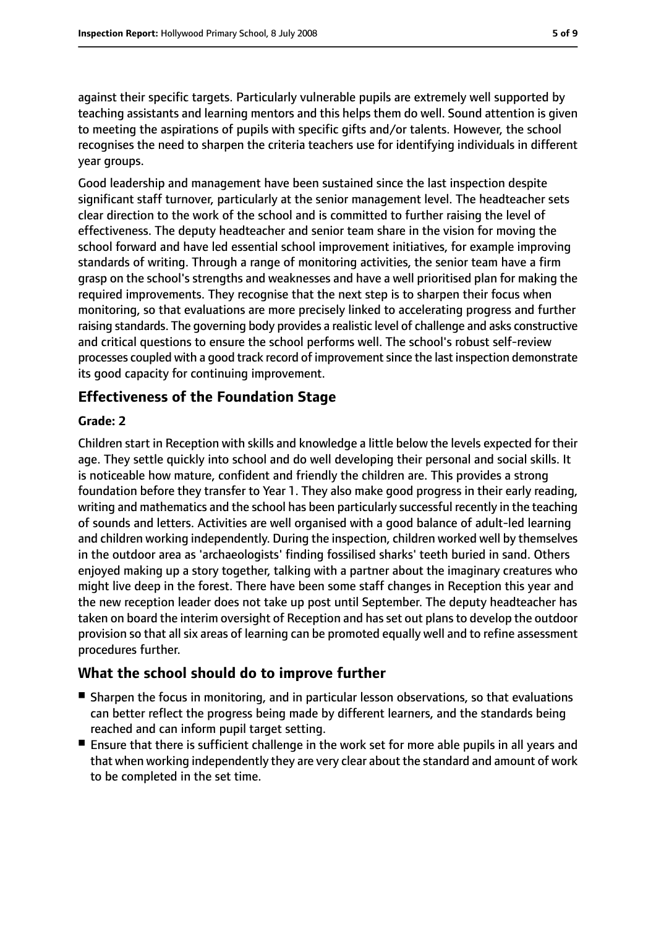against their specific targets. Particularly vulnerable pupils are extremely well supported by teaching assistants and learning mentors and this helps them do well. Sound attention is given to meeting the aspirations of pupils with specific gifts and/or talents. However, the school recognises the need to sharpen the criteria teachers use for identifying individuals in different year groups.

Good leadership and management have been sustained since the last inspection despite significant staff turnover, particularly at the senior management level. The headteacher sets clear direction to the work of the school and is committed to further raising the level of effectiveness. The deputy headteacher and senior team share in the vision for moving the school forward and have led essential school improvement initiatives, for example improving standards of writing. Through a range of monitoring activities, the senior team have a firm grasp on the school's strengths and weaknesses and have a well prioritised plan for making the required improvements. They recognise that the next step is to sharpen their focus when monitoring, so that evaluations are more precisely linked to accelerating progress and further raising standards. The governing body provides a realistic level of challenge and asks constructive and critical questions to ensure the school performs well. The school's robust self-review processes coupled with a good track record of improvement since the last inspection demonstrate its good capacity for continuing improvement.

## **Effectiveness of the Foundation Stage**

### **Grade: 2**

Children start in Reception with skills and knowledge a little below the levels expected for their age. They settle quickly into school and do well developing their personal and social skills. It is noticeable how mature, confident and friendly the children are. This provides a strong foundation before they transfer to Year 1. They also make good progress in their early reading, writing and mathematics and the school has been particularly successful recently in the teaching of sounds and letters. Activities are well organised with a good balance of adult-led learning and children working independently. During the inspection, children worked well by themselves in the outdoor area as 'archaeologists' finding fossilised sharks' teeth buried in sand. Others enjoyed making up a story together, talking with a partner about the imaginary creatures who might live deep in the forest. There have been some staff changes in Reception this year and the new reception leader does not take up post until September. The deputy headteacher has taken on board the interim oversight of Reception and hasset out plansto develop the outdoor provision so that all six areas of learning can be promoted equally well and to refine assessment procedures further.

## **What the school should do to improve further**

- Sharpen the focus in monitoring, and in particular lesson observations, so that evaluations can better reflect the progress being made by different learners, and the standards being reached and can inform pupil target setting.
- Ensure that there is sufficient challenge in the work set for more able pupils in all years and that when working independently they are very clear about the standard and amount of work to be completed in the set time.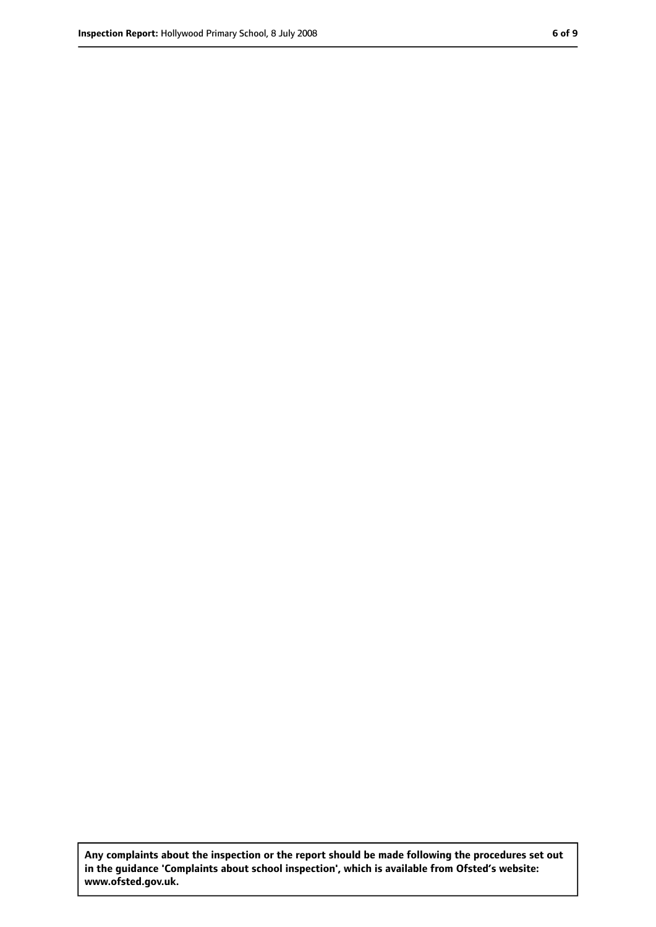**Any complaints about the inspection or the report should be made following the procedures set out in the guidance 'Complaints about school inspection', which is available from Ofsted's website: www.ofsted.gov.uk.**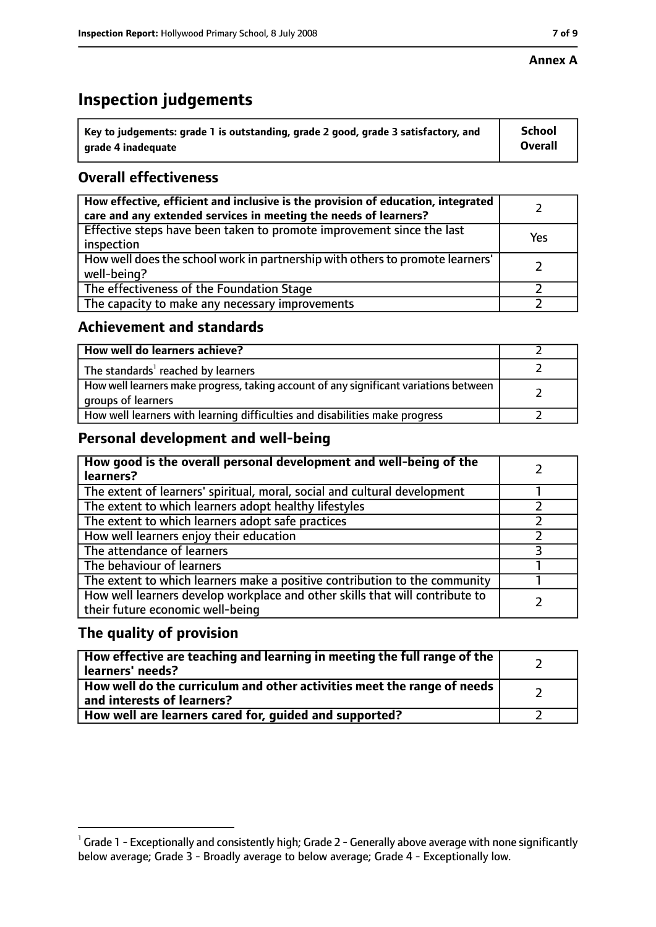#### **Annex A**

# **Inspection judgements**

| $^{\circ}$ Key to judgements: grade 1 is outstanding, grade 2 good, grade 3 satisfactory, and | <b>School</b>  |
|-----------------------------------------------------------------------------------------------|----------------|
| arade 4 inadequate                                                                            | <b>Overall</b> |

## **Overall effectiveness**

| How effective, efficient and inclusive is the provision of education, integrated<br>care and any extended services in meeting the needs of learners? |     |
|------------------------------------------------------------------------------------------------------------------------------------------------------|-----|
| Effective steps have been taken to promote improvement since the last<br>inspection                                                                  | Yes |
| How well does the school work in partnership with others to promote learners'<br>well-being?                                                         |     |
| The effectiveness of the Foundation Stage                                                                                                            |     |
| The capacity to make any necessary improvements                                                                                                      |     |

## **Achievement and standards**

| How well do learners achieve?                                                                               |  |
|-------------------------------------------------------------------------------------------------------------|--|
| The standards <sup>1</sup> reached by learners                                                              |  |
| How well learners make progress, taking account of any significant variations between<br>groups of learners |  |
| How well learners with learning difficulties and disabilities make progress                                 |  |

## **Personal development and well-being**

| How good is the overall personal development and well-being of the<br>learners?                                  |  |
|------------------------------------------------------------------------------------------------------------------|--|
| The extent of learners' spiritual, moral, social and cultural development                                        |  |
| The extent to which learners adopt healthy lifestyles                                                            |  |
| The extent to which learners adopt safe practices                                                                |  |
| How well learners enjoy their education                                                                          |  |
| The attendance of learners                                                                                       |  |
| The behaviour of learners                                                                                        |  |
| The extent to which learners make a positive contribution to the community                                       |  |
| How well learners develop workplace and other skills that will contribute to<br>their future economic well-being |  |

## **The quality of provision**

| How effective are teaching and learning in meeting the full range of the<br>learners' needs?          |  |
|-------------------------------------------------------------------------------------------------------|--|
| How well do the curriculum and other activities meet the range of needs<br>and interests of learners? |  |
| How well are learners cared for, guided and supported?                                                |  |

 $^1$  Grade 1 - Exceptionally and consistently high; Grade 2 - Generally above average with none significantly below average; Grade 3 - Broadly average to below average; Grade 4 - Exceptionally low.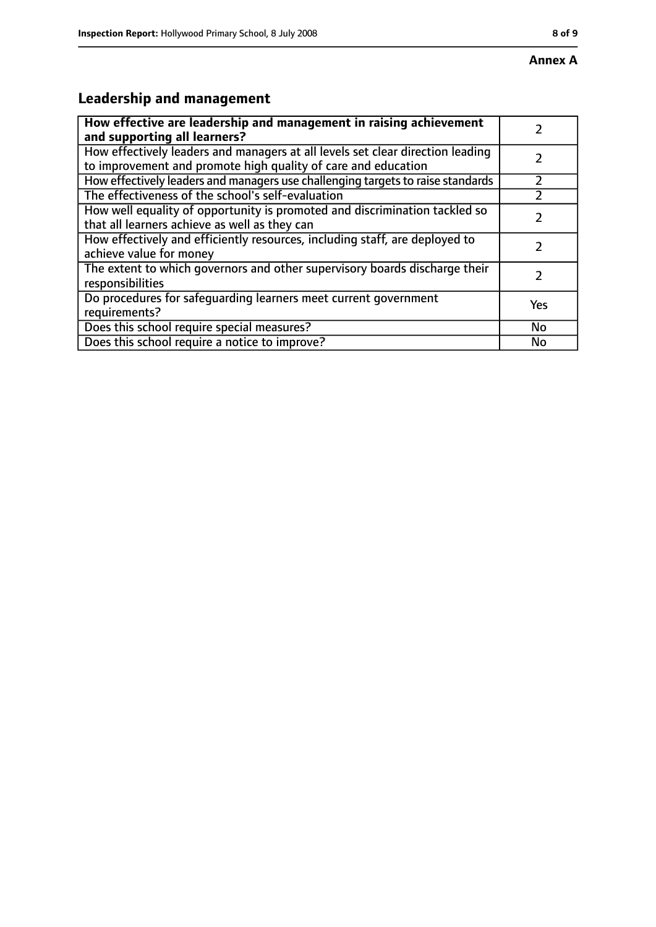# **Leadership and management**

| How effective are leadership and management in raising achievement<br>and supporting all learners?                                              |     |
|-------------------------------------------------------------------------------------------------------------------------------------------------|-----|
| How effectively leaders and managers at all levels set clear direction leading<br>to improvement and promote high quality of care and education |     |
| How effectively leaders and managers use challenging targets to raise standards                                                                 |     |
| The effectiveness of the school's self-evaluation                                                                                               |     |
| How well equality of opportunity is promoted and discrimination tackled so<br>that all learners achieve as well as they can                     |     |
| How effectively and efficiently resources, including staff, are deployed to<br>achieve value for money                                          |     |
| The extent to which governors and other supervisory boards discharge their<br>responsibilities                                                  |     |
| Do procedures for safequarding learners meet current government<br>requirements?                                                                | Yes |
| Does this school require special measures?                                                                                                      | No  |
| Does this school require a notice to improve?                                                                                                   | No  |